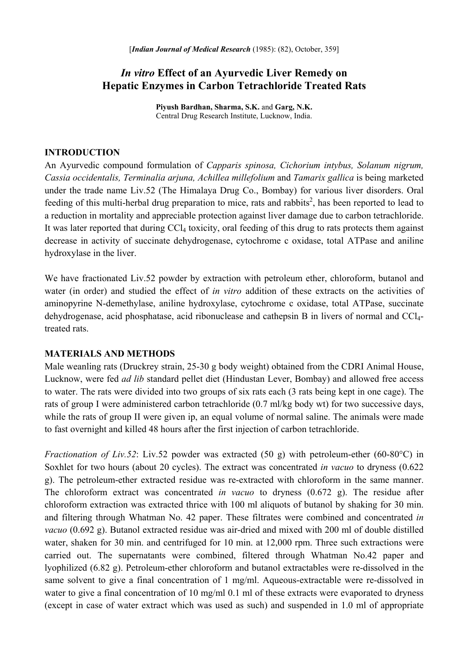# *In vitro* **Effect of an Ayurvedic Liver Remedy on Hepatic Enzymes in Carbon Tetrachloride Treated Rats**

**Piyush Bardhan, Sharma, S.K.** and **Garg, N.K.**  Central Drug Research Institute, Lucknow, India.

#### **INTRODUCTION**

An Ayurvedic compound formulation of *Capparis spinosa, Cichorium intybus, Solanum nigrum, Cassia occidentalis, Terminalia arjuna, Achillea millefolium* and *Tamarix gallica* is being marketed under the trade name Liv.52 (The Himalaya Drug Co., Bombay) for various liver disorders. Oral feeding of this multi-herbal drug preparation to mice, rats and rabbits<sup>2</sup>, has been reported to lead to a reduction in mortality and appreciable protection against liver damage due to carbon tetrachloride. It was later reported that during CCl<sub>4</sub> toxicity, oral feeding of this drug to rats protects them against decrease in activity of succinate dehydrogenase, cytochrome c oxidase, total ATPase and aniline hydroxylase in the liver.

We have fractionated Liv.52 powder by extraction with petroleum ether, chloroform, butanol and water (in order) and studied the effect of *in vitro* addition of these extracts on the activities of aminopyrine N-demethylase, aniline hydroxylase, cytochrome c oxidase, total ATPase, succinate dehydrogenase, acid phosphatase, acid ribonuclease and cathepsin B in livers of normal and CCl4 treated rats.

#### **MATERIALS AND METHODS**

Male weanling rats (Druckrey strain, 25-30 g body weight) obtained from the CDRI Animal House, Lucknow, were fed *ad lib* standard pellet diet (Hindustan Lever, Bombay) and allowed free access to water. The rats were divided into two groups of six rats each (3 rats being kept in one cage). The rats of group I were administered carbon tetrachloride (0.7 ml/kg body wt) for two successive days, while the rats of group II were given ip, an equal volume of normal saline. The animals were made to fast overnight and killed 48 hours after the first injection of carbon tetrachloride.

*Fractionation of Liv.52*: Liv.52 powder was extracted (50 g) with petroleum-ether (60-80°C) in Soxhlet for two hours (about 20 cycles). The extract was concentrated *in vacuo* to dryness (0.622 g). The petroleum-ether extracted residue was re-extracted with chloroform in the same manner. The chloroform extract was concentrated *in vacuo* to dryness (0.672 g). The residue after chloroform extraction was extracted thrice with 100 ml aliquots of butanol by shaking for 30 min. and filtering through Whatman No. 42 paper. These filtrates were combined and concentrated *in vacuo* (0.692 g). Butanol extracted residue was air-dried and mixed with 200 ml of double distilled water, shaken for 30 min. and centrifuged for 10 min. at 12,000 rpm. Three such extractions were carried out. The supernatants were combined, filtered through Whatman No.42 paper and lyophilized (6.82 g). Petroleum-ether chloroform and butanol extractables were re-dissolved in the same solvent to give a final concentration of 1 mg/ml. Aqueous-extractable were re-dissolved in water to give a final concentration of 10 mg/ml 0.1 ml of these extracts were evaporated to dryness (except in case of water extract which was used as such) and suspended in 1.0 ml of appropriate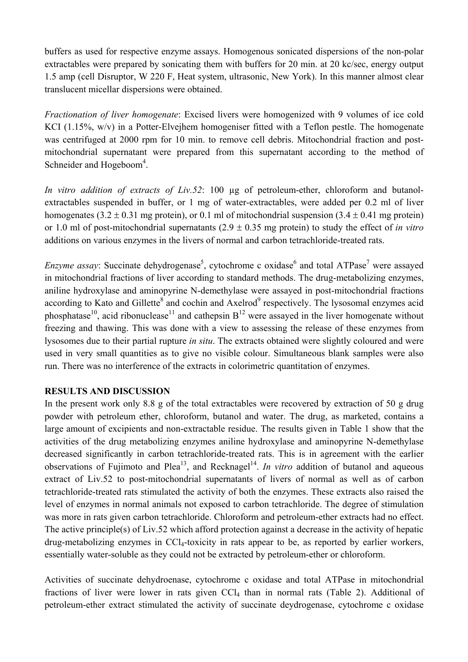buffers as used for respective enzyme assays. Homogenous sonicated dispersions of the non-polar extractables were prepared by sonicating them with buffers for 20 min. at 20 kc/sec, energy output 1.5 amp (cell Disruptor, W 220 F, Heat system, ultrasonic, New York). In this manner almost clear translucent micellar dispersions were obtained.

*Fractionation of liver homogenate*: Excised livers were homogenized with 9 volumes of ice cold KCI (1.15%, w/v) in a Potter-Elvejhem homogeniser fitted with a Teflon pestle. The homogenate was centrifuged at 2000 rpm for 10 min. to remove cell debris. Mitochondrial fraction and postmitochondrial supernatant were prepared from this supernatant according to the method of Schneider and Hogeboom<sup>4</sup>.

*In vitro addition of extracts of Liv.52*: 100 µg of petroleum-ether, chloroform and butanolextractables suspended in buffer, or 1 mg of water-extractables, were added per 0.2 ml of liver homogenates (3.2  $\pm$  0.31 mg protein), or 0.1 ml of mitochondrial suspension (3.4  $\pm$  0.41 mg protein) or 1.0 ml of post-mitochondrial supernatants (2.9 ± 0.35 mg protein) to study the effect of *in vitro*  additions on various enzymes in the livers of normal and carbon tetrachloride-treated rats.

*Enzyme assay*: Succinate dehydrogenase<sup>5</sup>, cytochrome c oxidase<sup>6</sup> and total ATPase<sup>7</sup> were assayed in mitochondrial fractions of liver according to standard methods. The drug-metabolizing enzymes, aniline hydroxylase and aminopyrine N-demethylase were assayed in post-mitochondrial fractions according to Kato and Gillette<sup>8</sup> and cochin and Axelrod<sup>9</sup> respectively. The lysosomal enzymes acid phosphatase<sup>10</sup>, acid ribonuclease<sup>11</sup> and cathepsin  $B<sup>12</sup>$  were assayed in the liver homogenate without freezing and thawing. This was done with a view to assessing the release of these enzymes from lysosomes due to their partial rupture *in situ*. The extracts obtained were slightly coloured and were used in very small quantities as to give no visible colour. Simultaneous blank samples were also run. There was no interference of the extracts in colorimetric quantitation of enzymes.

## **RESULTS AND DISCUSSION**

In the present work only 8.8 g of the total extractables were recovered by extraction of 50 g drug powder with petroleum ether, chloroform, butanol and water. The drug, as marketed, contains a large amount of excipients and non-extractable residue. The results given in Table 1 show that the activities of the drug metabolizing enzymes aniline hydroxylase and aminopyrine N-demethylase decreased significantly in carbon tetrachloride-treated rats. This is in agreement with the earlier observations of Fujimoto and Plea<sup>13</sup>, and Recknagel<sup>14</sup>. *In vitro* addition of butanol and aqueous extract of Liv.52 to post-mitochondrial supernatants of livers of normal as well as of carbon tetrachloride-treated rats stimulated the activity of both the enzymes. These extracts also raised the level of enzymes in normal animals not exposed to carbon tetrachloride. The degree of stimulation was more in rats given carbon tetrachloride. Chloroform and petroleum-ether extracts had no effect. The active principle(s) of Liv.52 which afford protection against a decrease in the activity of hepatic drug-metabolizing enzymes in CCl4-toxicity in rats appear to be, as reported by earlier workers, essentially water-soluble as they could not be extracted by petroleum-ether or chloroform.

Activities of succinate dehydroenase, cytochrome c oxidase and total ATPase in mitochondrial fractions of liver were lower in rats given CCl<sub>4</sub> than in normal rats (Table 2). Additional of petroleum-ether extract stimulated the activity of succinate deydrogenase, cytochrome c oxidase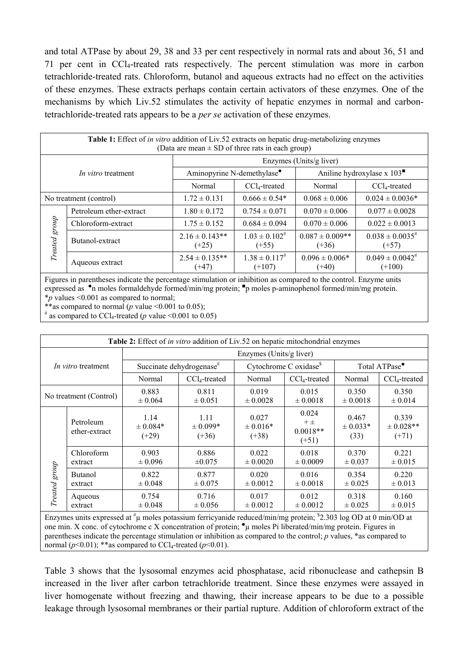and total ATPase by about 29, 38 and 33 per cent respectively in normal rats and about 36, 51 and 71 per cent in CCl4-treated rats respectively. The percent stimulation was more in carbon tetrachloride-treated rats. Chloroform, butanol and aqueous extracts had no effect on the activities of these enzymes. These extracts perhaps contain certain activators of these enzymes. One of the mechanisms by which Liv.52 stimulates the activity of hepatic enzymes in normal and carbontetrachloride-treated rats appears to be a *per se* activation of these enzymes.

| <b>Table 1:</b> Effect of <i>in vitro</i> addition of Liv.52 extracts on hepatic drug-metabolizing enzymes<br>(Data are mean $\pm$ SD of three rats in each group) |                         |                                        |                                  |                                                                  |                                   |  |  |
|--------------------------------------------------------------------------------------------------------------------------------------------------------------------|-------------------------|----------------------------------------|----------------------------------|------------------------------------------------------------------|-----------------------------------|--|--|
| <i>In vitro</i> treatment                                                                                                                                          |                         | Enzymes (Units/g liver)                |                                  |                                                                  |                                   |  |  |
|                                                                                                                                                                    |                         | Aminopyrine N-demethylase <sup>•</sup> |                                  | Aniline hydroxylase x $103$ <sup><math>\blacksquare</math></sup> |                                   |  |  |
|                                                                                                                                                                    |                         | Normal                                 | $CCl4$ -treated                  | Normal                                                           | $CCl4$ -treated                   |  |  |
| No treatment (control)                                                                                                                                             |                         | $1.72 \pm 0.131$                       | $0.666 \pm 0.54*$                | $0.068 \pm 0.006$                                                | $0.024 \pm 0.0036*$               |  |  |
| Treated group                                                                                                                                                      | Petroleum ether-extract | $1.80 \pm 0.172$                       | $0.754 \pm 0.071$                | $0.070 \pm 0.006$                                                | $0.077 \pm 0.0028$                |  |  |
|                                                                                                                                                                    | Chloroform-extract      | $1.75 \pm 0.152$                       | $0.684 \pm 0.094$                | $0.070 \pm 0.006$                                                | $0.022 \pm 0.0013$                |  |  |
|                                                                                                                                                                    | Butanol-extract         | $2.16 \pm 0.143**$<br>$(+25)$          | $1.03 \pm 0.102^{4}$<br>$(+55)$  | $0.087 \pm 0.009**$<br>$(+36)$                                   | $0.038 \pm 0.0035^{*}$<br>$(+57)$ |  |  |
|                                                                                                                                                                    | Aqueous extract         | $2.54 \pm 0.135**$<br>$(+47)$          | $1.38 \pm 0.117^{4}$<br>$(+107)$ | $0.096 \pm 0.006*$<br>$(+40)$                                    | $0.049 \pm 0.0042^*$<br>$(+100)$  |  |  |

Figures in parentheses indicate the percentage stimulation or inhibition as compared to the control. Enzyme units expressed as <sup>•</sup>n moles formaldehyde formed/min/mg protein; <sup>•</sup>p moles p-aminophenol formed/min/mg protein. \**p* values <0.001 as compared to normal;

\*\*as compared to normal ( $p$  value <0.001 to 0.05);

 $*$  as compared to CCl<sub>4</sub>-treated (*p* value <0.001 to 0.05)

| <b>Table 2:</b> Effect of <i>in vitro</i> addition of Liv.52 on hepatic mitochondrial enzymes |                            |                                      |                                 |                                    |                                             |                               |                                   |  |
|-----------------------------------------------------------------------------------------------|----------------------------|--------------------------------------|---------------------------------|------------------------------------|---------------------------------------------|-------------------------------|-----------------------------------|--|
| In vitro treatment                                                                            |                            | Enzymes (Units/g liver)              |                                 |                                    |                                             |                               |                                   |  |
|                                                                                               |                            | Succinate dehydrogenase <sup>#</sup> |                                 | Cytochrome C oxidase <sup>\$</sup> |                                             | Total ATPase <sup>•</sup>     |                                   |  |
|                                                                                               |                            | Normal                               | $CCl_4$ -treated                | Normal                             | $CCl_4$ -treated                            | Normal                        | $CCl_4$ -treated                  |  |
| No treatment (Control)                                                                        |                            | 0.883<br>$\pm 0.064$                 | 0.811<br>$\pm 0.051$            | 0.019<br>$\pm 0.0028$              | 0.015<br>$\pm 0.0018$                       | 0.350<br>$\pm 0.0018$         | 0.350<br>$\pm 0.014$              |  |
| Treated group                                                                                 | Petroleum<br>ether-extract | 1.14<br>$\pm 0.084*$<br>$(+29)$      | 1.11<br>$\pm 0.099*$<br>$(+36)$ | 0.027<br>$\pm 0.016*$<br>$(+38)$   | 0.024<br>$+$ $\pm$<br>$0.0018**$<br>$(+51)$ | 0.467<br>$\pm 0.033*$<br>(33) | 0.339<br>$\pm$ 0.028**<br>$(+71)$ |  |
|                                                                                               | Chloroform<br>extract      | 0.903<br>$\pm 0.096$                 | 0.886<br>$\pm 0.075$            | 0.022<br>$\pm 0.0020$              | 0.018<br>$\pm 0.0009$                       | 0.370<br>$\pm 0.037$          | 0.221<br>$\pm 0.015$              |  |
|                                                                                               | <b>Butanol</b><br>extract  | 0.822<br>$\pm 0.048$                 | 0.877<br>$\pm 0.075$            | 0.020<br>$\pm 0.0012$              | 0.016<br>$\pm 0.0018$                       | 0.354<br>$\pm 0.025$          | 0.220<br>$\pm 0.013$              |  |
|                                                                                               | Aqueous<br>extract         | 0.754<br>$\pm 0.048$                 | 0.716<br>$\pm 0.056$            | 0.017<br>$\pm 0.0012$              | 0.012<br>$\pm 0.0012$                       | 0.318<br>$\pm 0.025$          | 0.160<br>$\pm 0.015$              |  |

Enzymes units expressed at  $^{\#}$ µ moles potassium ferricyanide reduced/min/mg protein;  $^{\$}2.303$  log OD at 0 min/OD at one min. X conc. of cytochrome c X concentration of protein;  $\bullet \mu$  moles Pi liberated/min/mg protein. Figures in parentheses indicate the percentage stimulation or inhibition as compared to the control; *p* values, \*as compared to normal ( $p$ <0.01); \*\*as compared to CCl<sub>4</sub>-treated ( $p$ <0.01).

Table 3 shows that the lysosomal enzymes acid phosphatase, acid ribonuclease and cathepsin B increased in the liver after carbon tetrachloride treatment. Since these enzymes were assayed in liver homogenate without freezing and thawing, their increase appears to be due to a possible leakage through lysosomal membranes or their partial rupture. Addition of chloroform extract of the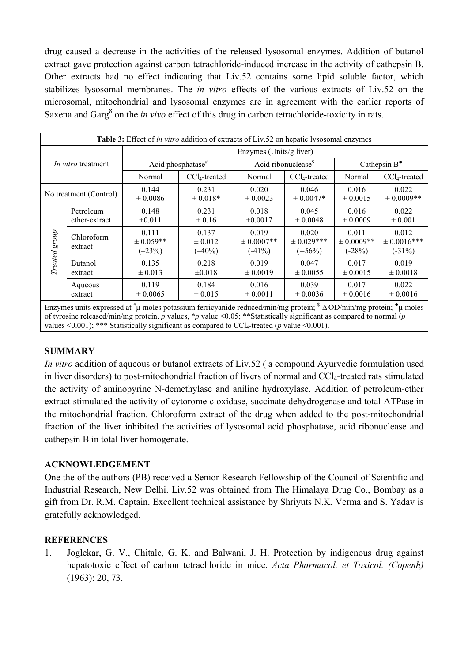drug caused a decrease in the activities of the released lysosomal enzymes. Addition of butanol extract gave protection against carbon tetrachloride-induced increase in the activity of cathepsin B. Other extracts had no effect indicating that Liv.52 contains some lipid soluble factor, which stabilizes lysosomal membranes. The *in vitro* effects of the various extracts of Liv.52 on the microsomal, mitochondrial and lysosomal enzymes are in agreement with the earlier reports of Saxena and Garg<sup>8</sup> on the *in vivo* effect of this drug in carbon tetrachloride-toxicity in rats.

| Table 3: Effect of <i>in vitro</i> addition of extracts of Liv.52 on hepatic lysosomal enzymes |                            |                                    |                                   |                                       |                                     |                                      |                                       |  |
|------------------------------------------------------------------------------------------------|----------------------------|------------------------------------|-----------------------------------|---------------------------------------|-------------------------------------|--------------------------------------|---------------------------------------|--|
| <i>In vitro</i> treatment                                                                      |                            | Enzymes (Units/g liver)            |                                   |                                       |                                     |                                      |                                       |  |
|                                                                                                |                            | Acid phosphatase <sup>#</sup>      |                                   | Acid ribonuclease <sup>§</sup>        |                                     | Cathepsin $B^{\bullet}$              |                                       |  |
|                                                                                                |                            | Normal                             | $CCl4$ -treated                   | Normal                                | $CCl4$ -treated                     | Normal                               | $CCl_4$ -treated                      |  |
| No treatment (Control)                                                                         |                            | 0.144<br>$\pm 0.0086$              | 0.231<br>$\pm 0.018*$             | 0.020<br>$\pm 0.0023$                 | 0.046<br>$\pm 0.0047*$              | 0.016<br>$\pm 0.0015$                | 0.022<br>$\pm 0.0009$ **              |  |
| Treated group                                                                                  | Petroleum<br>ether-extract | 0.148<br>$\pm 0.011$               | 0.231<br>$\pm 0.16$               | 0.018<br>$\pm 0.0017$                 | 0.045<br>$\pm 0.0048$               | 0.016<br>$\pm 0.0009$                | 0.022<br>$\pm 0.001$                  |  |
|                                                                                                | Chloroform<br>extract      | 0.111<br>$\pm$ 0.059**<br>$(-23%)$ | 0.137<br>$\pm 0.012$<br>$(-40\%)$ | 0.019<br>$\pm 0.0007$ **<br>$(-41\%)$ | 0.020<br>$\pm$ 0.029***<br>$(-56%)$ | 0.011<br>$\pm 0.0009$ **<br>$(-28%)$ | 0.012<br>$\pm$ 0.0016***<br>$(-31\%)$ |  |
|                                                                                                | <b>Butanol</b><br>extract  | 0.135<br>$\pm 0.013$               | 0.218<br>$\pm 0.018$              | 0.019<br>$\pm 0.0019$                 | 0.047<br>$\pm 0.0055$               | 0.017<br>$\pm 0.0015$                | 0.019<br>$\pm 0.0018$                 |  |
|                                                                                                | Aqueous<br>extract         | 0.119<br>$\pm 0.0065$              | 0.184<br>$\pm 0.015$              | 0.016<br>$\pm 0.0011$                 | 0.039<br>$\pm 0.0036$               | 0.017<br>$\pm 0.0016$                | 0.022<br>$\pm 0.0016$                 |  |

Enzymes units expressed at  $^{\#} \mu$  moles potassium ferricyanide reduced/min/mg protein;  $^{\$}$   $\Delta$  OD/min/mg protein;  $^{\bullet} \mu$  moles of tyrosine released/min/mg protein. *p* values, \**p* value <0.05; \*\*Statistically significant as compared to normal (*p* values  $\leq 0.001$ ; \*\*\* Statistically significant as compared to CCl<sub>4</sub>-treated (*p* value  $\leq 0.001$ ).

## **SUMMARY**

*In vitro* addition of aqueous or butanol extracts of Liv.52 ( a compound Ayurvedic formulation used in liver disorders) to post-mitochondrial fraction of livers of normal and CCl<sub>4</sub>-treated rats stimulated the activity of aminopyrine N-demethylase and aniline hydroxylase. Addition of petroleum-ether extract stimulated the activity of cytorome c oxidase, succinate dehydrogenase and total ATPase in the mitochondrial fraction. Chloroform extract of the drug when added to the post-mitochondrial fraction of the liver inhibited the activities of lysosomal acid phosphatase, acid ribonuclease and cathepsin B in total liver homogenate.

## **ACKNOWLEDGEMENT**

One the of the authors (PB) received a Senior Research Fellowship of the Council of Scientific and Industrial Research, New Delhi. Liv.52 was obtained from The Himalaya Drug Co., Bombay as a gift from Dr. R.M. Captain. Excellent technical assistance by Shriyuts N.K. Verma and S. Yadav is gratefully acknowledged.

## **REFERENCES**

1. Joglekar, G. V., Chitale, G. K. and Balwani, J. H. Protection by indigenous drug against hepatotoxic effect of carbon tetrachloride in mice. *Acta Pharmacol. et Toxicol. (Copenh)* (1963): 20, 73.